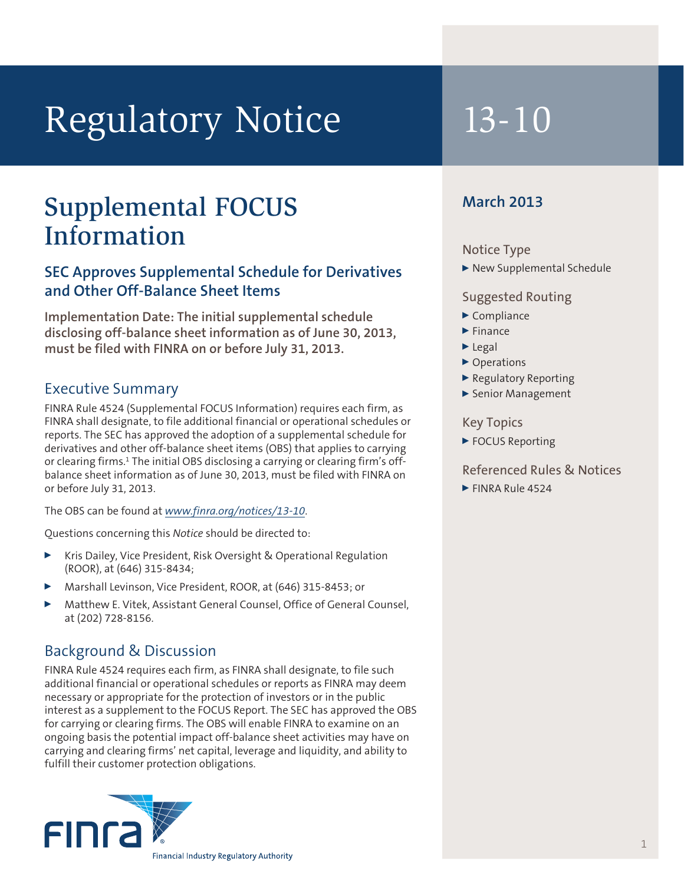# Regulatory Notice 13-10

## Supplemental FOCUS Information

#### **SEC Approves Supplemental Schedule for Derivatives and Other Off-Balance Sheet Items**

**Implementation Date: The initial supplemental schedule disclosing off-balance sheet information as of June 30, 2013, must be filed with FINRA on or before July 31, 2013.**

#### Executive Summary

FINRA Rule 4524 (Supplemental FOCUS Information) requires each firm, as FINRA shall designate, to file additional financial or operational schedules or reports. The SEC has approved the adoption of a supplemental schedule for derivatives and other off-balance sheet items (OBS) that applies to carrying or clearing firms.1 The initial OBS disclosing a carrying or clearing firm's offbalance sheet information as of June 30, 2013, must be filed with FINRA on or before July 31, 2013.

The OBS can be found at *www.finra.org/notices/13-10*.

Questions concerning this *Notice* should be directed to:

- Kris Dailey, Vice President, Risk Oversight & Operational Regulation (ROOR), at (646) 315-8434;
- <sup>0</sup> Marshall Levinson, Vice President, ROOR, at (646) 315-8453; or
- <sup>0</sup> Matthew E. Vitek, Assistant General Counsel, Office of General Counsel, at (202) 728-8156.

#### Background & Discussion

FINRA Rule 4524 requires each firm, as FINRA shall designate, to file such additional financial or operational schedules or reports as FINRA may deem necessary or appropriate for the protection of investors or in the public interest as a supplement to the FOCUS Report. The SEC has approved the OBS for carrying or clearing firms. The OBS will enable FINRA to examine on an ongoing basis the potential impact off-balance sheet activities may have on carrying and clearing firms' net capital, leverage and liquidity, and ability to fulfill their customer protection obligations.



### **March 2013**

#### Notice Type

▶ New Supplemental Schedule

#### Suggested Routing

- $\blacktriangleright$  Compliance
- $\blacktriangleright$  Finance
- $\blacktriangleright$  Legal
- ▶ Operations
- $\blacktriangleright$  Regulatory Reporting
- ▶ Senior Management

#### Key Topics

▶ FOCUS Reporting

#### Referenced Rules & Notices

 $\blacktriangleright$  FINRA Rule 4524